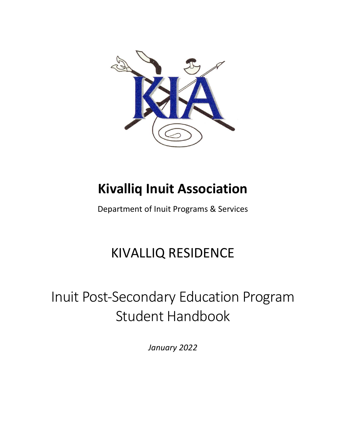

## **Kivalliq Inuit Association**

Department of Inuit Programs & Services

## KIVALLIQ RESIDENCE

# Inuit Post-Secondary Education Program Student Handbook

*January 2022*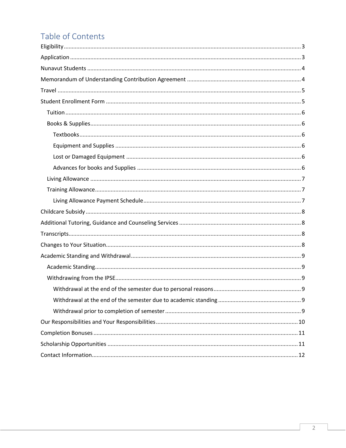## Table of Contents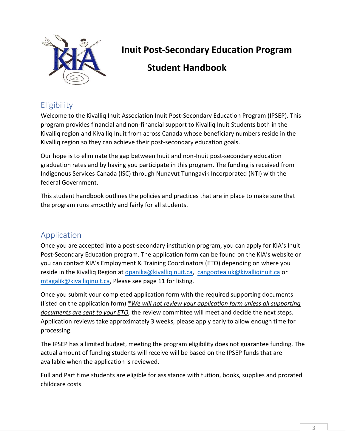

### **Inuit Post-Secondary Education Program**

### **Student Handbook**

### <span id="page-2-0"></span>**Eligibility**

Welcome to the Kivalliq Inuit Association Inuit Post-Secondary Education Program (IPSEP). This program provides financial and non-financial support to Kivalliq Inuit Students both in the Kivalliq region and Kivalliq Inuit from across Canada whose beneficiary numbers reside in the Kivalliq region so they can achieve their post-secondary education goals.

Our hope is to eliminate the gap between Inuit and non-Inuit post-secondary education graduation rates and by having you participate in this program. The funding is received from Indigenous Services Canada (ISC) through Nunavut Tunngavik Incorporated (NTI) with the federal Government.

This student handbook outlines the policies and practices that are in place to make sure that the program runs smoothly and fairly for all students.

### <span id="page-2-1"></span>Application

Once you are accepted into a post-secondary institution program, you can apply for KIA's Inuit Post-Secondary Education program. The application form can be found on the KIA's website or you can contact KIA's Employment & Training Coordinators (ETO) depending on where you reside in the Kivalliq Region at [dpanika@kivalliqinuit.ca,](mailto:dpanika@kivalliqinuit.ca) [cangootealuk@kivalliqinuit.ca](mailto:cangootealuk@kivalliqinuit.ca) or [mtagalik@kivalliqinuit.ca,](mailto:mtagalik@kivalliqinuit.ca) Please see page 11 for listing.

Once you submit your completed application form with the required supporting documents (listed on the application form) \**We will not review your application form unless all supporting documents are sent to your ETO,* the review committee will meet and decide the next steps. Application reviews take approximately 3 weeks, please apply early to allow enough time for processing.

The IPSEP has a limited budget, meeting the program eligibility does not guarantee funding. The actual amount of funding students will receive will be based on the IPSEP funds that are available when the application is reviewed.

Full and Part time students are eligible for assistance with tuition, books, supplies and prorated childcare costs.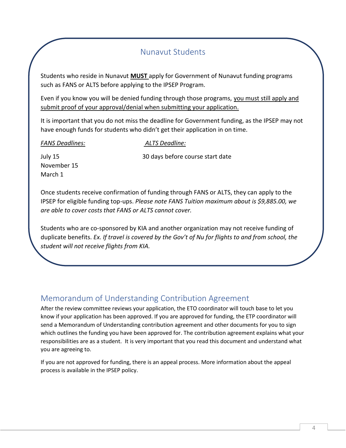### Nunavut Students

<span id="page-3-0"></span>Students who reside in Nunavut **MUST** apply for Government of Nunavut funding programs such as FANS or ALTS before applying to the IPSEP Program.

Even if you know you will be denied funding through those programs, you must still apply and submit proof of your approval/denial when submitting your application.

It is important that you do not miss the deadline for Government funding, as the IPSEP may not have enough funds for students who didn't get their application in on time.

#### *FANS Deadlines: ALTS Deadline:*

July 15 30 days before course start date November 15 March 1

Once students receive confirmation of funding through FANS or ALTS, they can apply to the IPSEP for eligible funding top-ups. *Please note FANS Tuition maximum about is \$9,885.00, we are able to cover costs that FANS or ALTS cannot cover.* 

Students who are co-sponsored by KIA and another organization may not receive funding of duplicate benefits. *Ex. If travel is covered by the Gov't of Nu for flights to and from school, the student will not receive flights from KIA.* 

### <span id="page-3-1"></span>Memorandum of Understanding Contribution Agreement

After the review committee reviews your application, the ETO coordinator will touch base to let you know if your application has been approved. If you are approved for funding, the ETP coordinator will send a Memorandum of Understanding contribution agreement and other documents for you to sign which outlines the funding you have been approved for. The contribution agreement explains what your responsibilities are as a student. It is very important that you read this document and understand what you are agreeing to.

If you are not approved for funding, there is an appeal process. More information about the appeal process is available in the IPSEP policy.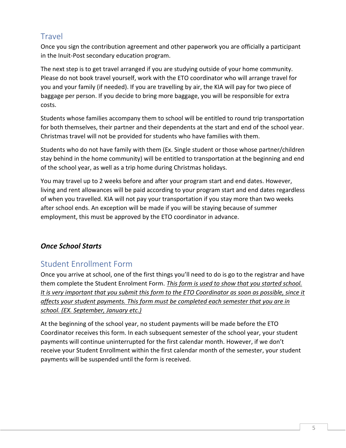### <span id="page-4-0"></span>**Travel**

Once you sign the contribution agreement and other paperwork you are officially a participant in the Inuit-Post secondary education program.

The next step is to get travel arranged if you are studying outside of your home community. Please do not book travel yourself, work with the ETO coordinator who will arrange travel for you and your family (if needed). If you are travelling by air, the KIA will pay for two piece of baggage per person. If you decide to bring more baggage, you will be responsible for extra costs.

Students whose families accompany them to school will be entitled to round trip transportation for both themselves, their partner and their dependents at the start and end of the school year. Christmas travel will not be provided for students who have families with them.

Students who do not have family with them (Ex. Single student or those whose partner/children stay behind in the home community) will be entitled to transportation at the beginning and end of the school year, as well as a trip home during Christmas holidays.

You may travel up to 2 weeks before and after your program start and end dates. However, living and rent allowances will be paid according to your program start and end dates regardless of when you travelled. KIA will not pay your transportation if you stay more than two weeks after school ends. An exception will be made if you will be staying because of summer employment, this must be approved by the ETO coordinator in advance.

#### *Once School Starts*

### <span id="page-4-1"></span>Student Enrollment Form

Once you arrive at school, one of the first things you'll need to do is go to the registrar and have them complete the Student Enrolment Form. *This form is used to show that you started school. It is very important that you submit this form to the ETO Coordinator as soon as possible, since it affects your student payments. This form must be completed each semester that you are in school. (EX. September, January etc.)* 

At the beginning of the school year, no student payments will be made before the ETO Coordinator receives this form. In each subsequent semester of the school year, your student payments will continue uninterrupted for the first calendar month. However, if we don't receive your Student Enrollment within the first calendar month of the semester, your student payments will be suspended until the form is received.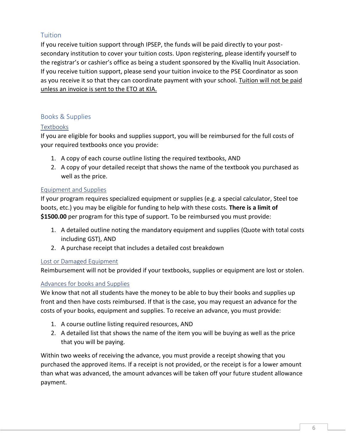#### <span id="page-5-0"></span>**Tuition**

If you receive tuition support through IPSEP, the funds will be paid directly to your postsecondary institution to cover your tuition costs. Upon registering, please identify yourself to the registrar's or cashier's office as being a student sponsored by the Kivalliq Inuit Association. If you receive tuition support, please send your tuition invoice to the PSE Coordinator as soon as you receive it so that they can coordinate payment with your school. Tuition will not be paid unless an invoice is sent to the ETO at KIA.

#### <span id="page-5-1"></span>Books & Supplies

#### <span id="page-5-2"></span>Textbooks

If you are eligible for books and supplies support, you will be reimbursed for the full costs of your required textbooks once you provide:

- 1. A copy of each course outline listing the required textbooks, AND
- 2. A copy of your detailed receipt that shows the name of the textbook you purchased as well as the price.

#### <span id="page-5-3"></span>Equipment and Supplies

If your program requires specialized equipment or supplies (e.g. a special calculator, Steel toe boots, etc.) you may be eligible for funding to help with these costs. **There is a limit of \$1500.00** per program for this type of support. To be reimbursed you must provide:

- 1. A detailed outline noting the mandatory equipment and supplies (Quote with total costs including GST), AND
- 2. A purchase receipt that includes a detailed cost breakdown

#### <span id="page-5-4"></span>Lost or Damaged Equipment

Reimbursement will not be provided if your textbooks, supplies or equipment are lost or stolen.

#### <span id="page-5-5"></span>Advances for books and Supplies

We know that not all students have the money to be able to buy their books and supplies up front and then have costs reimbursed. If that is the case, you may request an advance for the costs of your books, equipment and supplies. To receive an advance, you must provide:

- 1. A course outline listing required resources, AND
- 2. A detailed list that shows the name of the item you will be buying as well as the price that you will be paying.

Within two weeks of receiving the advance, you must provide a receipt showing that you purchased the approved items. If a receipt is not provided, or the receipt is for a lower amount than what was advanced, the amount advances will be taken off your future student allowance payment.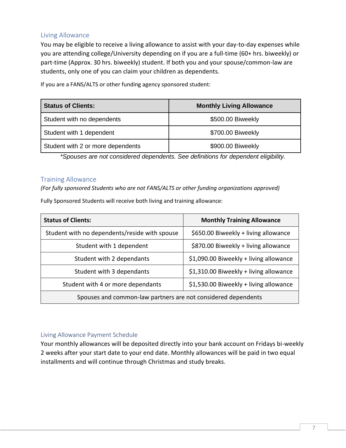#### <span id="page-6-0"></span>Living Allowance

You may be eligible to receive a living allowance to assist with your day-to-day expenses while you are attending college/University depending on if you are a full-time (60+ hrs. biweekly) or part-time (Approx. 30 hrs. biweekly) student. If both you and your spouse/common-law are students, only one of you can claim your children as dependents.

**Status of Clients: Monthly Living Allowance** Student with no dependents **\$500.00 Biweekly** Student with 1 dependent  $$700.00$  Biweekly Student with 2 or more dependents  $\sim$  \$900.00 Biweekly

If you are a FANS/ALTS or other funding agency sponsored student:

*\*Spouses are not considered dependents. See definitions for dependent eligibility.*

#### <span id="page-6-1"></span>Training Allowance

*(For fully sponsored Students who are not FANS/ALTS or other funding organizations approved)*

Fully Sponsored Students will receive both living and training allowance:

| <b>Status of Clients:</b>                                                   | <b>Monthly Training Allowance</b>      |  |
|-----------------------------------------------------------------------------|----------------------------------------|--|
| Student with no dependents/reside with spouse                               | \$650.00 Biweekly + living allowance   |  |
| Student with 1 dependent                                                    | \$870.00 Biweekly + living allowance   |  |
| Student with 2 dependants                                                   | \$1,090.00 Biweekly + living allowance |  |
| \$1,310.00 Biweekly + living allowance<br>Student with 3 dependants         |                                        |  |
| \$1,530.00 Biweekly + living allowance<br>Student with 4 or more dependants |                                        |  |
| Spouses and common-law partners are not considered dependents               |                                        |  |

#### <span id="page-6-2"></span>Living Allowance Payment Schedule

Your monthly allowances will be deposited directly into your bank account on Fridays bi-weekly 2 weeks after your start date to your end date. Monthly allowances will be paid in two equal installments and will continue through Christmas and study breaks.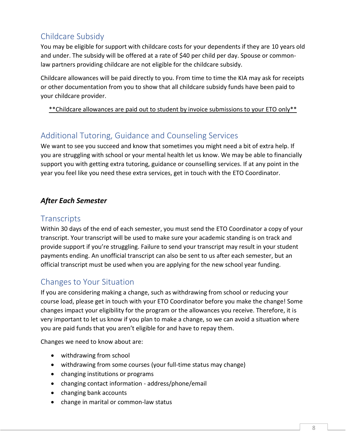### <span id="page-7-0"></span>Childcare Subsidy

You may be eligible for support with childcare costs for your dependents if they are 10 years old and under. The subsidy will be offered at a rate of \$40 per child per day. Spouse or commonlaw partners providing childcare are not eligible for the childcare subsidy.

Childcare allowances will be paid directly to you. From time to time the KIA may ask for receipts or other documentation from you to show that all childcare subsidy funds have been paid to your childcare provider.

\*\*Childcare allowances are paid out to student by invoice submissions to your ETO only\*\*

### <span id="page-7-1"></span>Additional Tutoring, Guidance and Counseling Services

We want to see you succeed and know that sometimes you might need a bit of extra help. If you are struggling with school or your mental health let us know. We may be able to financially support you with getting extra tutoring, guidance or counselling services. If at any point in the year you feel like you need these extra services, get in touch with the ETO Coordinator.

### *After Each Semester*

### <span id="page-7-2"></span>**Transcripts**

Within 30 days of the end of each semester, you must send the ETO Coordinator a copy of your transcript. Your transcript will be used to make sure your academic standing is on track and provide support if you're struggling. Failure to send your transcript may result in your student payments ending. An unofficial transcript can also be sent to us after each semester, but an official transcript must be used when you are applying for the new school year funding.

### <span id="page-7-3"></span>Changes to Your Situation

If you are considering making a change, such as withdrawing from school or reducing your course load, please get in touch with your ETO Coordinator before you make the change! Some changes impact your eligibility for the program or the allowances you receive. Therefore, it is very important to let us know if you plan to make a change, so we can avoid a situation where you are paid funds that you aren't eligible for and have to repay them.

Changes we need to know about are:

- withdrawing from school
- withdrawing from some courses (your full-time status may change)
- changing institutions or programs
- changing contact information address/phone/email
- changing bank accounts
- change in marital or common-law status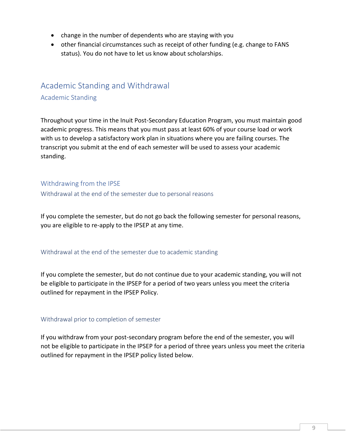- change in the number of dependents who are staying with you
- other financial circumstances such as receipt of other funding (e.g. change to FANS status). You do not have to let us know about scholarships.

### <span id="page-8-0"></span>Academic Standing and Withdrawal

#### <span id="page-8-1"></span>Academic Standing

Throughout your time in the Inuit Post-Secondary Education Program, you must maintain good academic progress. This means that you must pass at least 60% of your course load or work with us to develop a satisfactory work plan in situations where you are failing courses. The transcript you submit at the end of each semester will be used to assess your academic standing.

#### <span id="page-8-2"></span>Withdrawing from the IPSE

<span id="page-8-3"></span>Withdrawal at the end of the semester due to personal reasons

If you complete the semester, but do not go back the following semester for personal reasons, you are eligible to re-apply to the IPSEP at any time.

#### <span id="page-8-4"></span>Withdrawal at the end of the semester due to academic standing

If you complete the semester, but do not continue due to your academic standing, you will not be eligible to participate in the IPSEP for a period of two years unless you meet the criteria outlined for repayment in the IPSEP Policy.

#### <span id="page-8-5"></span>Withdrawal prior to completion of semester

If you withdraw from your post-secondary program before the end of the semester, you will not be eligible to participate in the IPSEP for a period of three years unless you meet the criteria outlined for repayment in the IPSEP policy listed below.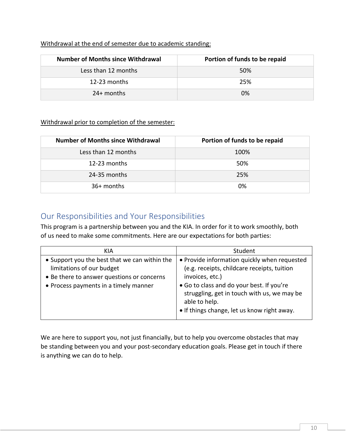|  | Withdrawal at the end of semester due to academic standing: |  |  |
|--|-------------------------------------------------------------|--|--|
|--|-------------------------------------------------------------|--|--|

| <b>Number of Months since Withdrawal</b> | Portion of funds to be repaid |
|------------------------------------------|-------------------------------|
| Less than 12 months                      | 50%                           |
| 12-23 months                             | 25%                           |
| $24+$ months                             | 0%                            |

#### Withdrawal prior to completion of the semester:

| <b>Number of Months since Withdrawal</b> | Portion of funds to be repaid |
|------------------------------------------|-------------------------------|
| Less than 12 months                      | 100%                          |
| 12-23 months                             | 50%                           |
| 24-35 months                             | 25%                           |
| 36+ months                               | 0%                            |

### <span id="page-9-0"></span>Our Responsibilities and Your Responsibilities

This program is a partnership between you and the KIA. In order for it to work smoothly, both of us need to make some commitments. Here are our expectations for both parties:

| KIA                                                                                                                                                               | Student                                                                                                                                                                                                                                                                    |
|-------------------------------------------------------------------------------------------------------------------------------------------------------------------|----------------------------------------------------------------------------------------------------------------------------------------------------------------------------------------------------------------------------------------------------------------------------|
| • Support you the best that we can within the<br>limitations of our budget<br>• Be there to answer questions or concerns<br>• Process payments in a timely manner | • Provide information quickly when requested<br>(e.g. receipts, childcare receipts, tuition<br>invoices, etc.)<br>• Go to class and do your best. If you're<br>struggling, get in touch with us, we may be<br>able to help.<br>• If things change, let us know right away. |

We are here to support you, not just financially, but to help you overcome obstacles that may be standing between you and your post-secondary education goals. Please get in touch if there is anything we can do to help.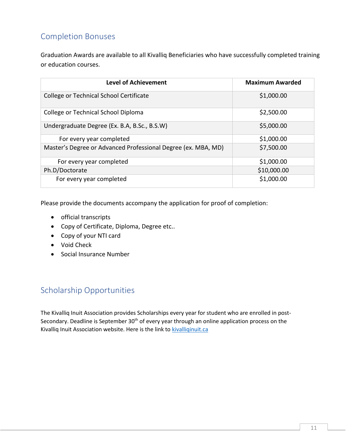### <span id="page-10-0"></span>Completion Bonuses

Graduation Awards are available to all Kivalliq Beneficiaries who have successfully completed training or education courses.

| <b>Level of Achievement</b>                                   | <b>Maximum Awarded</b> |
|---------------------------------------------------------------|------------------------|
| College or Technical School Certificate                       | \$1,000.00             |
| College or Technical School Diploma                           | \$2,500.00             |
| Undergraduate Degree (Ex. B.A, B.Sc., B.S.W)                  | \$5,000.00             |
| For every year completed                                      | \$1,000.00             |
| Master's Degree or Advanced Professional Degree (ex. MBA, MD) | \$7,500.00             |
| For every year completed                                      | \$1,000.00             |
| Ph.D/Doctorate                                                | \$10,000.00            |
| For every year completed                                      | \$1,000.00             |

Please provide the documents accompany the application for proof of completion:

- official transcripts
- Copy of Certificate, Diploma, Degree etc..
- Copy of your NTI card
- Void Check
- Social Insurance Number

### <span id="page-10-1"></span>Scholarship Opportunities

The Kivalliq Inuit Association provides Scholarships every year for student who are enrolled in post-Secondary. Deadline is September 30<sup>th</sup> of every year through an online application process on the Kivalliq Inuit Association website. Here is the link to [kivalliqinuit.ca](https://kivalliqinuit.ca/)